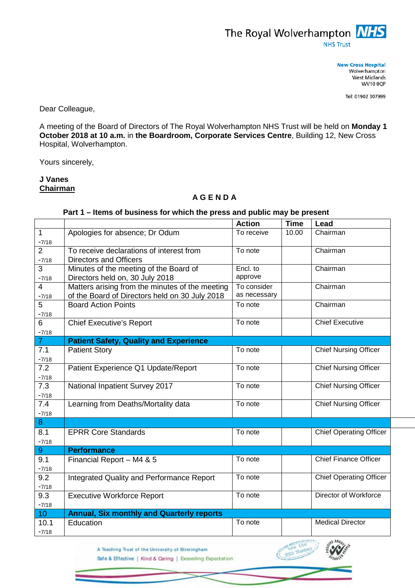

**New Cross Hospital** Wolverhampton West Midlands **WV10 0QP** 

Tel: 01902 307999

Dear Colleague,

A meeting of the Board of Directors of The Royal Wolverhampton NHS Trust will be held on **Monday 1 October 2018 at 10 a.m.** in **the Boardroom, Corporate Services Centre**, Building 12, New Cross Hospital, Wolverhampton.

Yours sincerely,

## **J Vanes Chairman**

## **A G E N D A**

## **Part 1 – Items of business for which the press and public may be present**

|                 |                                                  | <b>Action</b> | <b>Time</b> | Lead                           |
|-----------------|--------------------------------------------------|---------------|-------------|--------------------------------|
| $\mathbf{1}$    | Apologies for absence; Dr Odum                   | To receive    | 10.00       | Chairman                       |
| $-7/18$         |                                                  |               |             |                                |
| $\overline{2}$  | To receive declarations of interest from         | To note       |             | Chairman                       |
| $-7/18$         | <b>Directors and Officers</b>                    |               |             |                                |
| 3               | Minutes of the meeting of the Board of           | Encl. to      |             | Chairman                       |
| $-7/18$         | Directors held on, 30 July 2018                  | approve       |             |                                |
| $\overline{4}$  | Matters arising from the minutes of the meeting  | To consider   |             | Chairman                       |
| $-7/18$         | of the Board of Directors held on 30 July 2018   | as necessary  |             |                                |
| $5\phantom{.0}$ | <b>Board Action Points</b>                       | To note       |             | Chairman                       |
| $-7/18$         |                                                  |               |             |                                |
| 6               | <b>Chief Executive's Report</b>                  | To note       |             | <b>Chief Executive</b>         |
| $-7/18$         |                                                  |               |             |                                |
| $\overline{7}$  | <b>Patient Safety, Quality and Experience</b>    |               |             |                                |
| 7.1             | <b>Patient Story</b>                             | To note       |             | <b>Chief Nursing Officer</b>   |
| $-7/18$         |                                                  |               |             |                                |
| 7.2             | Patient Experience Q1 Update/Report              | To note       |             | <b>Chief Nursing Officer</b>   |
| $-7/18$         |                                                  |               |             |                                |
| 7.3             | National Inpatient Survey 2017                   | To note       |             | <b>Chief Nursing Officer</b>   |
| $-7/18$         |                                                  |               |             |                                |
| 7.4             | Learning from Deaths/Mortality data              | To note       |             | <b>Chief Nursing Officer</b>   |
| $-7/18$         |                                                  |               |             |                                |
| 8               |                                                  |               |             |                                |
| 8.1             | <b>EPRR Core Standards</b>                       | To note       |             | <b>Chief Operating Officer</b> |
| $-7/18$         |                                                  |               |             |                                |
| 9               | <b>Performance</b>                               |               |             |                                |
| 9.1             | Financial Report - M4 & 5                        | To note       |             | <b>Chief Finance Officer</b>   |
| $-7/18$         |                                                  |               |             |                                |
| 9.2             | Integrated Quality and Performance Report        | To note       |             | <b>Chief Operating Officer</b> |
| $-7/18$         |                                                  |               |             |                                |
| 9.3             | <b>Executive Workforce Report</b>                | To note       |             | Director of Workforce          |
| $-7/18$         |                                                  |               |             |                                |
| 10 <sup>°</sup> | <b>Annual, Six monthly and Quarterly reports</b> |               |             |                                |
| 10.1            | Education                                        | To note       |             | <b>Medical Director</b>        |
| $-7/18$         |                                                  |               |             |                                |

A Teaching Trust of the University of Birmingham

Safe & Effective | Kind & Caring | Exceeding Expectation